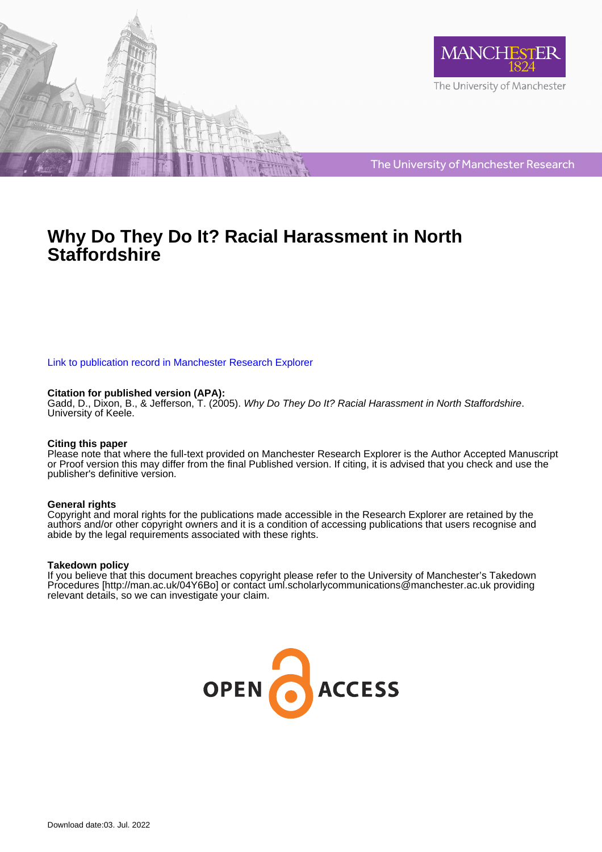



The University of Manchester Research

#### **Why Do They Do It? Racial Harassment in North Staffordshire**

#### [Link to publication record in Manchester Research Explorer](https://www.research.manchester.ac.uk/portal/en/publications/why-do-they-do-it-racial-harassment-in-north-staffordshire(00afb91d-3136-41d7-9da2-6361a408b970).html)

#### **Citation for published version (APA):**

[Gadd, D.](/portal/david.gadd.html), Dixon, B., & Jefferson, T. (2005). [Why Do They Do It? Racial Harassment in North Staffordshire](https://www.research.manchester.ac.uk/portal/en/publications/why-do-they-do-it-racial-harassment-in-north-staffordshire(00afb91d-3136-41d7-9da2-6361a408b970).html). University of Keele.

#### **Citing this paper**

Please note that where the full-text provided on Manchester Research Explorer is the Author Accepted Manuscript or Proof version this may differ from the final Published version. If citing, it is advised that you check and use the publisher's definitive version.

#### **General rights**

Copyright and moral rights for the publications made accessible in the Research Explorer are retained by the authors and/or other copyright owners and it is a condition of accessing publications that users recognise and abide by the legal requirements associated with these rights.

#### **Takedown policy**

If you believe that this document breaches copyright please refer to the University of Manchester's Takedown Procedures [http://man.ac.uk/04Y6Bo] or contact uml.scholarlycommunications@manchester.ac.uk providing relevant details, so we can investigate your claim.

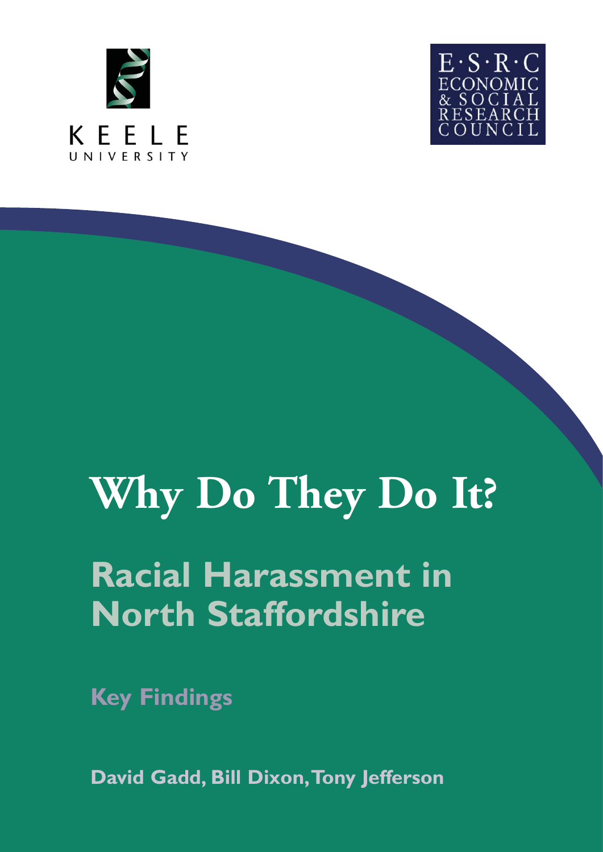



### **Why Do They Do It?**

### **Racial Harassment in North Staffordshire**

**Key Findings**

**David Gadd, Bill Dixon,Tony Jefferson**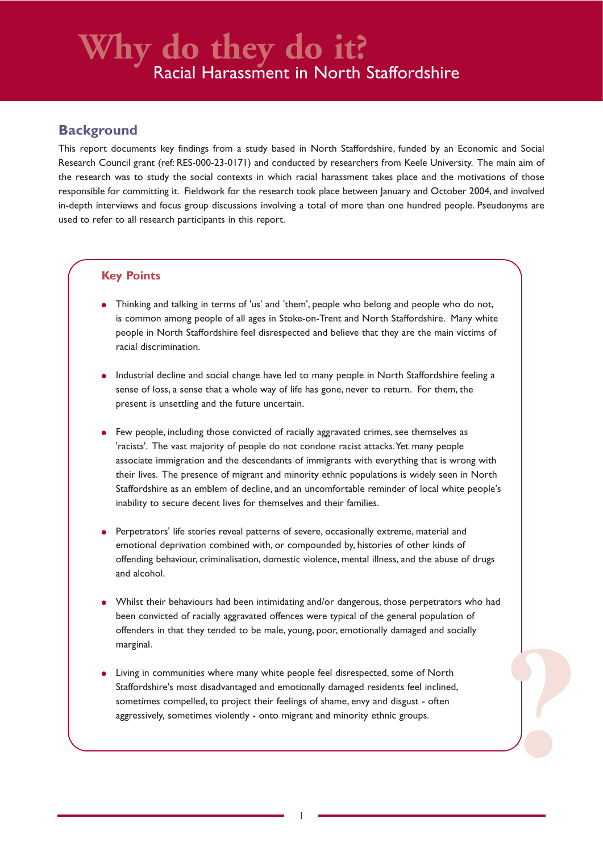#### **Background**

This report documents key findings from a study based in North Staffordshire, funded by an Economic and Social Research Council grant (ref: RES-000-23-0171) and conducted by researchers from Keele University. The main aim of the research was to study the social contexts in which racial harassment takes place and the motivations of those responsible for committing it. Fieldwork for the research took place between January and October 2004, and involved in-depth interviews and focus group discussions involving a total of more than one hundred people. Pseudonyms are used to refer to all research participants in this report.

#### **Key Points**

- Thinking and talking in terms of 'us' and 'them', people who belong and people who do not, is common among people of all ages in Stoke-on-Trent and North Staffordshire. Many white people in North Staffordshire feel disrespected and believe that they are the main victims of racial discrimination.
- Industrial decline and social change have led to many people in North Staffordshire feeling a sense of loss, a sense that a whole way of life has gone, never to return. For them, the present is unsettling and the future uncertain.
- Few people, including those convicted of racially aggravated crimes, see themselves as 'racists'. The vast majority of people do not condone racist attacks.Yet many people associate immigration and the descendants of immigrants with everything that is wrong with their lives. The presence of migrant and minority ethnic populations is widely seen in North Staffordshire as an emblem of decline, and an uncomfortable reminder of local white people's inability to secure decent lives for themselves and their families.
- Perpetrators' life stories reveal patterns of severe, occasionally extreme, material and emotional deprivation combined with, or compounded by, histories of other kinds of offending behaviour, criminalisation, domestic violence, mental illness, and the abuse of drugs and alcohol.
- Whilst their behaviours had been intimidating and/or dangerous, those perpetrators who had been convicted of racially aggravated offences were typical of the general population of offenders in that they tended to be male, young, poor, emotionally damaged and socially marginal.
- Living in communities where many white people feel disrespected, some of North Staffordshire's most disadvantaged and emotionally damaged residents feel inclined, sometimes compelled, to project their feelings of shame, envy and disgust - often marginal.<br>Living in communities where many white people feel disrespected, some of North<br>Staffordshire's most disadvantaged and emotionally damaged residents feel inclined,<br>sometimes compelled, to project their feelings of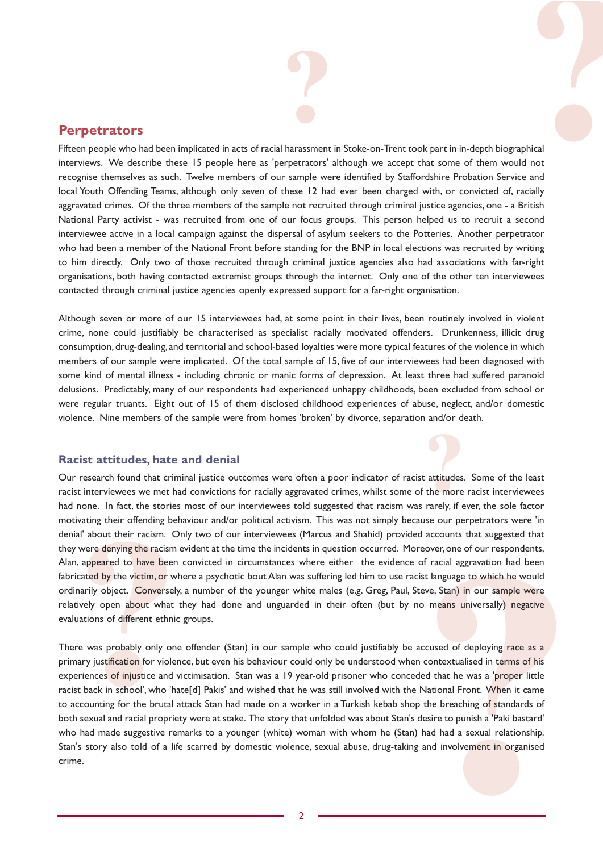# **?**

#### **Perpetrators**

**8**<br>**hical**<br>**1** not<br>and Fifteen people who had been implicated in acts of racial harassment in Stoke-on-Trent took part in in-depth biographical interviews. We describe these 15 people here as 'perpetrators' although we accept that some of them would not recognise themselves as such. Twelve members of our sample were identified by Staffordshire Probation Service and local Youth Offending Teams, although only seven of these 12 had ever been charged with, or convicted of, racially aggravated crimes. Of the three members of the sample not recruited through criminal justice agencies, one - a British National Party activist - was recruited from one of our focus groups. This person helped us to recruit a second interviewee active in a local campaign against the dispersal of asylum seekers to the Potteries. Another perpetrator who had been a member of the National Front before standing for the BNP in local elections was recruited by writing to him directly. Only two of those recruited through criminal justice agencies also had associations with far-right organisations, both having contacted extremist groups through the internet. Only one of the other ten interviewees contacted through criminal justice agencies openly expressed support for a far-right organisation.

Although seven or more of our 15 interviewees had, at some point in their lives, been routinely involved in violent crime, none could justifiably be characterised as specialist racially motivated offenders. Drunkenness, illicit drug consumption, drug-dealing, and territorial and school-based loyalties were more typical features of the violence in which members of our sample were implicated. Of the total sample of 15, five of our interviewees had been diagnosed with some kind of mental illness - including chronic or manic forms of depression. At least three had suffered paranoid delusions. Predictably, many of our respondents had experienced unhappy childhoods, been excluded from school or were regular truants. Eight out of 15 of them disclosed childhood experiences of abuse, neglect, and/or domestic violence. Nine members of the sample were from homes 'broken' by divorce, separation and/or death.

#### **Racist attitudes, hate and denial**

**Property** attitudes<br>the more<br>rarely, if e Our research found that criminal justice outcomes were often a poor indicator of racist attitudes. Some of the least racist interviewees we met had convictions for racially aggravated crimes, whilst some of the more racist interviewees had none. In fact, the stories most of our interviewees told suggested that racism was rarely, if ever, the sole factor motivating their offending behaviour and/or political activism. This was not simply because our perpetrators were 'in denial' about their racism. Only two of our interviewees (Marcus and Shahid) provided accounts that suggested that they were denying the racism evident at the time the incidents in question occurred. Moreover,one of our respondents, Alan, appeared to have been convicted in circumstances where either the evidence of racial aggravation had been fabricated by the victim, or where a psychotic bout Alan was suffering led him to use racist language to which he would ordinarily object. Conversely, a number of the younger white males (e.g. Greg, Paul, Steve, Stan) in our sample were relatively open about what they had done and unguarded in their often (but by no means universally) negative evaluations of different ethnic groups.

an about their racism. Only two or our interviewes (rariats and shand) provided accounts that suggested that the superarbot of the experimentation and solution are density of the victomer density of the scheme convicted in There was probably only one offender (Stan) in our sample who could justifiably be accused of deploying race as a primary justification for violence, but even his behaviour could only be understood when contextualised in terms of his experiences of injustice and victimisation. Stan was a 19 year-old prisoner who conceded that he was a 'proper little racist back in school', who 'hate[d] Pakis' and wished that he was still involved with the National Front. When it came to accounting for the brutal attack Stan had made on a worker in a Turkish kebab shop the breaching of standards of both sexual and racial propriety were at stake. The story that unfolded was about Stan's desire to punish a 'Paki bastard' who had made suggestive remarks to a younger (white) woman with whom he (Stan) had had a sexual relationship. Stan's story also told of a life scarred by domestic violence, sexual abuse, drug-taking and involvement in organised crime.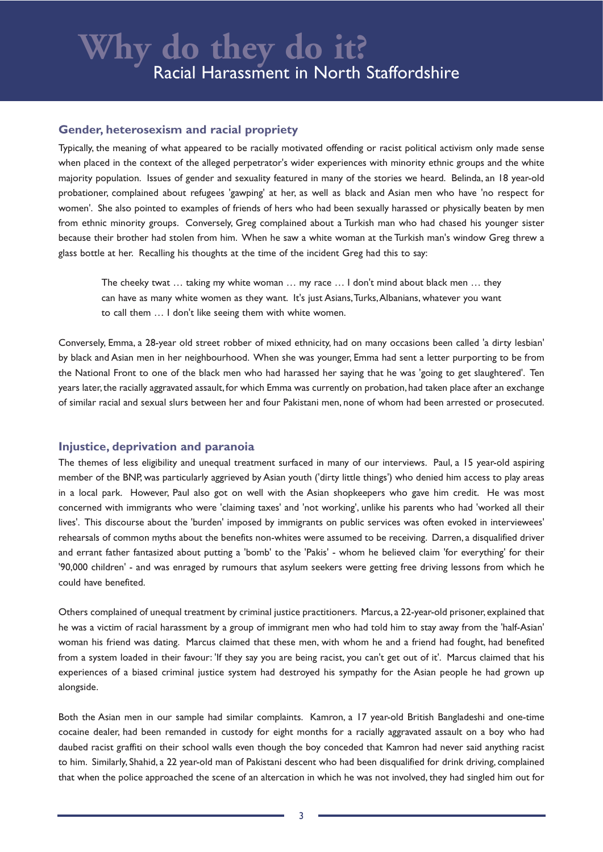#### **Gender, heterosexism and racial propriety**

Typically, the meaning of what appeared to be racially motivated offending or racist political activism only made sense when placed in the context of the alleged perpetrator's wider experiences with minority ethnic groups and the white majority population. Issues of gender and sexuality featured in many of the stories we heard. Belinda, an 18 year-old probationer, complained about refugees 'gawping' at her, as well as black and Asian men who have 'no respect for women'. She also pointed to examples of friends of hers who had been sexually harassed or physically beaten by men from ethnic minority groups. Conversely, Greg complained about a Turkish man who had chased his younger sister because their brother had stolen from him. When he saw a white woman at the Turkish man's window Greg threw a glass bottle at her. Recalling his thoughts at the time of the incident Greg had this to say:

The cheeky twat … taking my white woman … my race … I don't mind about black men … they can have as many white women as they want. It's just Asians,Turks,Albanians, whatever you want to call them … I don't like seeing them with white women.

Conversely, Emma, a 28-year old street robber of mixed ethnicity, had on many occasions been called 'a dirty lesbian' by black and Asian men in her neighbourhood. When she was younger, Emma had sent a letter purporting to be from the National Front to one of the black men who had harassed her saying that he was 'going to get slaughtered'. Ten years later, the racially aggravated assault, for which Emma was currently on probation, had taken place after an exchange of similar racial and sexual slurs between her and four Pakistani men, none of whom had been arrested or prosecuted.

#### **Injustice, deprivation and paranoia**

The themes of less eligibility and unequal treatment surfaced in many of our interviews. Paul, a 15 year-old aspiring member of the BNP, was particularly aggrieved by Asian youth ('dirty little things') who denied him access to play areas in a local park. However, Paul also got on well with the Asian shopkeepers who gave him credit. He was most concerned with immigrants who were 'claiming taxes' and 'not working', unlike his parents who had 'worked all their lives'. This discourse about the 'burden' imposed by immigrants on public services was often evoked in interviewees' rehearsals of common myths about the benefits non-whites were assumed to be receiving. Darren, a disqualified driver and errant father fantasized about putting a 'bomb' to the 'Pakis' - whom he believed claim 'for everything' for their '90,000 children' - and was enraged by rumours that asylum seekers were getting free driving lessons from which he could have benefited.

Others complained of unequal treatment by criminal justice practitioners. Marcus, a 22-year-old prisoner, explained that he was a victim of racial harassment by a group of immigrant men who had told him to stay away from the 'half-Asian' woman his friend was dating. Marcus claimed that these men, with whom he and a friend had fought, had benefited from a system loaded in their favour: 'If they say you are being racist, you can't get out of it'. Marcus claimed that his experiences of a biased criminal justice system had destroyed his sympathy for the Asian people he had grown up alongside.

Both the Asian men in our sample had similar complaints. Kamron, a 17 year-old British Bangladeshi and one-time cocaine dealer, had been remanded in custody for eight months for a racially aggravated assault on a boy who had daubed racist graffiti on their school walls even though the boy conceded that Kamron had never said anything racist to him. Similarly, Shahid, a 22 year-old man of Pakistani descent who had been disqualified for drink driving, complained that when the police approached the scene of an altercation in which he was not involved, they had singled him out for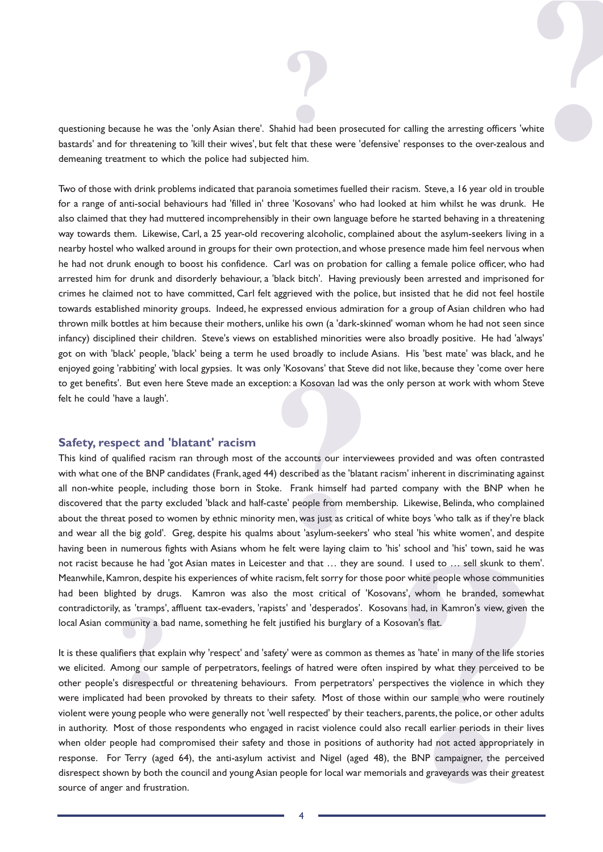

**?** questioning because he was the 'only Asian there'. Shahid had been prosecuted for calling the arresting officers 'white bastards' and for threatening to 'kill their wives', but felt that these were 'defensive' responses to the over-zealous and demeaning treatment to which the police had subjected him.

Two of those with drink problems indicated that paranoia sometimes fuelled their racism. Steve, a 16 year old in trouble for a range of anti-social behaviours had 'filled in' three 'Kosovans' who had looked at him whilst he was drunk. He also claimed that they had muttered incomprehensibly in their own language before he started behaving in a threatening way towards them. Likewise, Carl, a 25 year-old recovering alcoholic, complained about the asylum-seekers living in a nearby hostel who walked around in groups for their own protection, and whose presence made him feel nervous when he had not drunk enough to boost his confidence. Carl was on probation for calling a female police officer, who had arrested him for drunk and disorderly behaviour, a 'black bitch'. Having previously been arrested and imprisoned for crimes he claimed not to have committed, Carl felt aggrieved with the police, but insisted that he did not feel hostile towards established minority groups. Indeed, he expressed envious admiration for a group of Asian children who had thrown milk bottles at him because their mothers, unlike his own (a 'dark-skinned' woman whom he had not seen since infancy) disciplined their children. Steve's views on established minorities were also broadly positive. He had 'always' got on with 'black' people, 'black' being a term he used broadly to include Asians. His 'best mate' was black, and he enjoyed going 'rabbiting' with local gypsies. It was only 'Kosovans' that Steve did not like, because they 'come over here to get benefits'. But even here Steve made an exception: a Kosovan lad was the only person at work with whom Steve felt he could 'have a laugh'.

#### **Safety, respect and 'blatant' racism**

otion: a Kosovan lad was<br>
the accounts our intervie<br>
4) described as the 'blatar<br>
4) described as the 'blatar<br>
ke. Frank himself had<br>
aste' people from memb<br>
y men, was just as critica<br>
s about 'asylum-seekers'<br>
the felt w This kind of qualified racism ran through most of the accounts our interviewees provided and was often contrasted with what one of the BNP candidates (Frank, aged 44) described as the 'blatant racism' inherent in discriminating against all non-white people, including those born in Stoke. Frank himself had parted company with the BNP when he discovered that the party excluded 'black and half-caste' people from membership. Likewise, Belinda, who complained about the threat posed to women by ethnic minority men, was just as critical of white boys 'who talk as if they're black and wear all the big gold'. Greg, despite his qualms about 'asylum-seekers' who steal 'his white women', and despite having been in numerous fights with Asians whom he felt were laying claim to 'his' school and 'his' town, said he was not racist because he had 'got Asian mates in Leicester and that … they are sound. I used to … sell skunk to them'. Meanwhile, Kamron, despite his experiences of white racism, felt sorry for those poor white people whose communities had been blighted by drugs. Kamron was also the most critical of 'Kosovans', whom he branded, somewhat contradictorily, as 'tramps', affluent tax-evaders, 'rapists' and 'desperados'. Kosovans had, in Kamron's view, given the local Asian community a bad name, something he felt justified his burglary of a Kosovan's flat.

**Properties**<br>**Properties**<br>**Properties**<br>**8**<br>**Properties**<br>**Properties**<br>**Properties**<br>**Properties**<br>**Properties** nd. I used to ... sell skunk to them'<br>oor white people whose communities<br>vans', whom he branded, somewhat<br>vans had, in Kamron's view, given the<br>osovan's flat.<br>mes as 'hate' in many of the life stories<br>spired by what they p It is these qualifiers that explain why 'respect' and 'safety' were as common as themes as 'hate' in many of the life stories we elicited. Among our sample of perpetrators, feelings of hatred were often inspired by what they perceived to be other people's disrespectful or threatening behaviours. From perpetrators' perspectives the violence in which they were implicated had been provoked by threats to their safety. Most of those within our sample who were routinely violent were young people who were generally not 'well respected' by their teachers, parents, the police, or other adults in authority. Most of those respondents who engaged in racist violence could also recall earlier periods in their lives when older people had compromised their safety and those in positions of authority had not acted appropriately in response. For Terry (aged 64), the anti-asylum activist and Nigel (aged 48), the BNP campaigner, the perceived disrespect shown by both the council and young Asian people for local war memorials and graveyards was their greatest source of anger and frustration.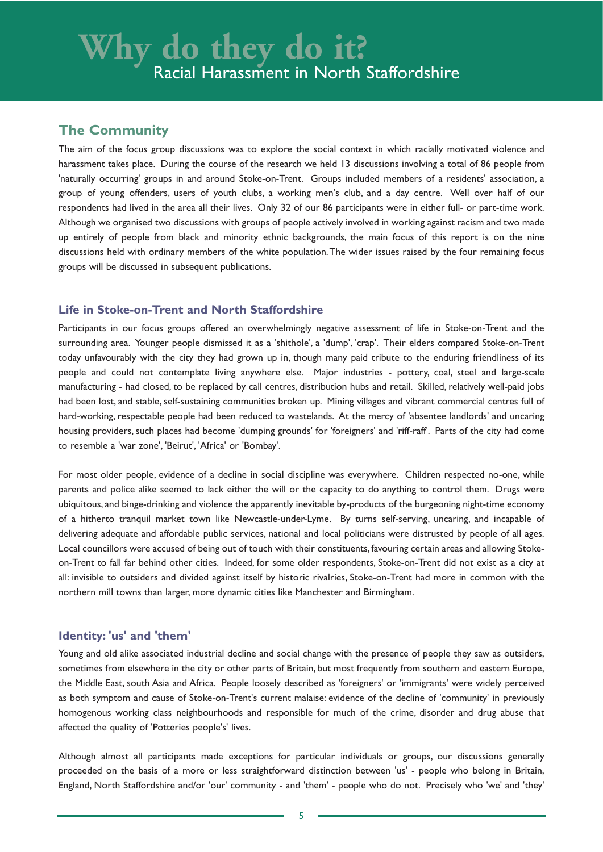#### **The Community**

The aim of the focus group discussions was to explore the social context in which racially motivated violence and harassment takes place. During the course of the research we held 13 discussions involving a total of 86 people from 'naturally occurring' groups in and around Stoke-on-Trent. Groups included members of a residents' association, a group of young offenders, users of youth clubs, a working men's club, and a day centre. Well over half of our respondents had lived in the area all their lives. Only 32 of our 86 participants were in either full- or part-time work. Although we organised two discussions with groups of people actively involved in working against racism and two made up entirely of people from black and minority ethnic backgrounds, the main focus of this report is on the nine discussions held with ordinary members of the white population.The wider issues raised by the four remaining focus groups will be discussed in subsequent publications.

#### **Life in Stoke-on-Trent and North Staffordshire**

Participants in our focus groups offered an overwhelmingly negative assessment of life in Stoke-on-Trent and the surrounding area. Younger people dismissed it as a 'shithole', a 'dump', 'crap'. Their elders compared Stoke-on-Trent today unfavourably with the city they had grown up in, though many paid tribute to the enduring friendliness of its people and could not contemplate living anywhere else. Major industries - pottery, coal, steel and large-scale manufacturing - had closed, to be replaced by call centres, distribution hubs and retail. Skilled, relatively well-paid jobs had been lost, and stable, self-sustaining communities broken up. Mining villages and vibrant commercial centres full of hard-working, respectable people had been reduced to wastelands. At the mercy of 'absentee landlords' and uncaring housing providers, such places had become 'dumping grounds' for 'foreigners' and 'riff-raff'. Parts of the city had come to resemble a 'war zone', 'Beirut', 'Africa' or 'Bombay'.

For most older people, evidence of a decline in social discipline was everywhere. Children respected no-one, while parents and police alike seemed to lack either the will or the capacity to do anything to control them. Drugs were ubiquitous, and binge-drinking and violence the apparently inevitable by-products of the burgeoning night-time economy of a hitherto tranquil market town like Newcastle-under-Lyme. By turns self-serving, uncaring, and incapable of delivering adequate and affordable public services, national and local politicians were distrusted by people of all ages. Local councillors were accused of being out of touch with their constituents, favouring certain areas and allowing Stokeon-Trent to fall far behind other cities. Indeed, for some older respondents, Stoke-on-Trent did not exist as a city at all: invisible to outsiders and divided against itself by historic rivalries, Stoke-on-Trent had more in common with the northern mill towns than larger, more dynamic cities like Manchester and Birmingham.

#### **Identity: 'us' and 'them'**

Young and old alike associated industrial decline and social change with the presence of people they saw as outsiders, sometimes from elsewhere in the city or other parts of Britain, but most frequently from southern and eastern Europe, the Middle East, south Asia and Africa. People loosely described as 'foreigners' or 'immigrants' were widely perceived as both symptom and cause of Stoke-on-Trent's current malaise: evidence of the decline of 'community' in previously homogenous working class neighbourhoods and responsible for much of the crime, disorder and drug abuse that affected the quality of 'Potteries people's' lives.

Although almost all participants made exceptions for particular individuals or groups, our discussions generally proceeded on the basis of a more or less straightforward distinction between 'us' - people who belong in Britain, England, North Staffordshire and/or 'our' community - and 'them' - people who do not. Precisely who 'we' and 'they'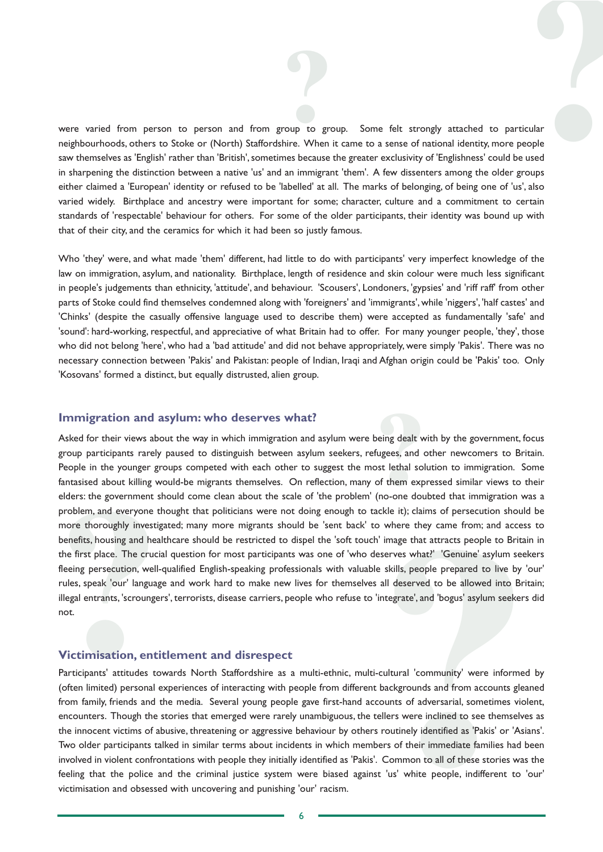cular<br>
exple<br>
exple<br>
explored<br>
also were varied from person to person and from group to group. Some felt strongly attached to particular neighbourhoods, others to Stoke or (North) Staffordshire. When it came to a sense of national identity, more people **Particular**<br>Proup to gradient saw themselves as 'English' rather than 'British', sometimes because the greater exclusivity of 'Englishness' could be used in sharpening the distinction between a native 'us' and an immigrant 'them'. A few dissenters among the older groups either claimed a 'European' identity or refused to be 'labelled' at all. The marks of belonging, of being one of 'us', also varied widely. Birthplace and ancestry were important for some; character, culture and a commitment to certain standards of 'respectable' behaviour for others. For some of the older participants, their identity was bound up with that of their city, and the ceramics for which it had been so justly famous.

Who 'they' were, and what made 'them' different, had little to do with participants' very imperfect knowledge of the law on immigration, asylum, and nationality. Birthplace, length of residence and skin colour were much less significant in people's judgements than ethnicity, 'attitude', and behaviour. 'Scousers', Londoners, 'gypsies' and 'riff raff' from other parts of Stoke could find themselves condemned along with 'foreigners' and 'immigrants', while 'niggers', 'half castes' and 'Chinks' (despite the casually offensive language used to describe them) were accepted as fundamentally 'safe' and 'sound': hard-working, respectful, and appreciative of what Britain had to offer. For many younger people, 'they', those who did not belong 'here', who had a 'bad attitude' and did not behave appropriately, were simply 'Pakis'. There was no necessary connection between 'Pakis' and Pakistan: people of Indian, Iraqi and Afghan origin could be 'Pakis' too. Only 'Kosovans' formed a distinct, but equally distrusted, alien group.

#### **Immigration and asylum: who deserves what?**

**Example 18 Algency**<br>**Property**<br>**Property**<br>**Property**<br>**Property**<br>**Property**<br> **Property**<br> **Property**<br> **Property** Asked for their views about the way in which immigration and asylum were being dealt with by the government, focus group participants rarely paused to distinguish between asylum seekers, refugees, and other newcomers to Britain. People in the younger groups competed with each other to suggest the most lethal solution to immigration. Some fantasised about killing would-be migrants themselves. On reflection, many of them expressed similar views to their elders: the government should come clean about the scale of 'the problem' (no-one doubted that immigration was a problem, and everyone thought that politicians were not doing enough to tackle it); claims of persecution should be more thoroughly investigated; many more migrants should be 'sent back' to where they came from; and access to benefits, housing and healthcare should be restricted to dispel the 'soft touch' image that attracts people to Britain in the first place. The crucial question for most participants was one of 'who deserves what?' 'Genuine' asylum seekers fleeing persecution, well-qualified English-speaking professionals with valuable skills, people prepared to live by 'our' rules, speak 'our' language and work hard to make new lives for themselves all deserved to be allowed into Britain; illegal entrants, 'scroungers', terrorists, disease carriers, people who refuse to 'integrate', and 'bogus' asylum seekers did not.

#### **Victimisation, entitlement and disrespect**

problem, and everyone thought that politicians were not doing enough to tackle it); claims of persecution should<br>none thoroughly investigated; many more migrants should be 'sent back' co where they came from; and access<br>th Participants' attitudes towards North Staffordshire as a multi-ethnic, multi-cultural 'community' were informed by (often limited) personal experiences of interacting with people from different backgrounds and from accounts gleaned from family, friends and the media. Several young people gave first-hand accounts of adversarial, sometimes violent, encounters. Though the stories that emerged were rarely unambiguous, the tellers were inclined to see themselves as the innocent victims of abusive, threatening or aggressive behaviour by others routinely identified as 'Pakis' or 'Asians'. Two older participants talked in similar terms about incidents in which members of their immediate families had been involved in violent confrontations with people they initially identified as 'Pakis'. Common to all of these stories was the feeling that the police and the criminal justice system were biased against 'us' white people, indifferent to 'our' victimisation and obsessed with uncovering and punishing 'our' racism.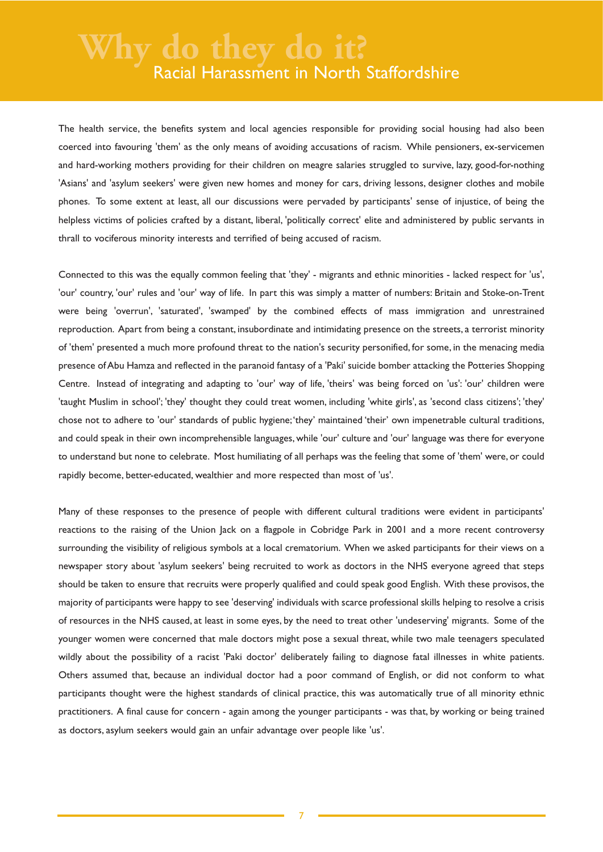The health service, the benefits system and local agencies responsible for providing social housing had also been coerced into favouring 'them' as the only means of avoiding accusations of racism. While pensioners, ex-servicemen and hard-working mothers providing for their children on meagre salaries struggled to survive, lazy, good-for-nothing 'Asians' and 'asylum seekers' were given new homes and money for cars, driving lessons, designer clothes and mobile phones. To some extent at least, all our discussions were pervaded by participants' sense of injustice, of being the helpless victims of policies crafted by a distant, liberal, 'politically correct' elite and administered by public servants in thrall to vociferous minority interests and terrified of being accused of racism.

Connected to this was the equally common feeling that 'they' - migrants and ethnic minorities - lacked respect for 'us', 'our' country, 'our' rules and 'our' way of life. In part this was simply a matter of numbers: Britain and Stoke-on-Trent were being 'overrun', 'saturated', 'swamped' by the combined effects of mass immigration and unrestrained reproduction. Apart from being a constant, insubordinate and intimidating presence on the streets, a terrorist minority of 'them' presented a much more profound threat to the nation's security personified, for some, in the menacing media presence of Abu Hamza and reflected in the paranoid fantasy of a 'Paki' suicide bomber attacking the Potteries Shopping Centre. Instead of integrating and adapting to 'our' way of life, 'theirs' was being forced on 'us': 'our' children were 'taught Muslim in school'; 'they' thought they could treat women, including 'white girls', as 'second class citizens'; 'they' chose not to adhere to 'our' standards of public hygiene;'they' maintained 'their' own impenetrable cultural traditions, and could speak in their own incomprehensible languages, while 'our' culture and 'our' language was there for everyone to understand but none to celebrate. Most humiliating of all perhaps was the feeling that some of 'them' were, or could rapidly become, better-educated, wealthier and more respected than most of 'us'.

Many of these responses to the presence of people with different cultural traditions were evident in participants' reactions to the raising of the Union Jack on a flagpole in Cobridge Park in 2001 and a more recent controversy surrounding the visibility of religious symbols at a local crematorium. When we asked participants for their views on a newspaper story about 'asylum seekers' being recruited to work as doctors in the NHS everyone agreed that steps should be taken to ensure that recruits were properly qualified and could speak good English. With these provisos, the majority of participants were happy to see 'deserving' individuals with scarce professional skills helping to resolve a crisis of resources in the NHS caused, at least in some eyes, by the need to treat other 'undeserving' migrants. Some of the younger women were concerned that male doctors might pose a sexual threat, while two male teenagers speculated wildly about the possibility of a racist 'Paki doctor' deliberately failing to diagnose fatal illnesses in white patients. Others assumed that, because an individual doctor had a poor command of English, or did not conform to what participants thought were the highest standards of clinical practice, this was automatically true of all minority ethnic practitioners. A final cause for concern - again among the younger participants - was that, by working or being trained as doctors, asylum seekers would gain an unfair advantage over people like 'us'.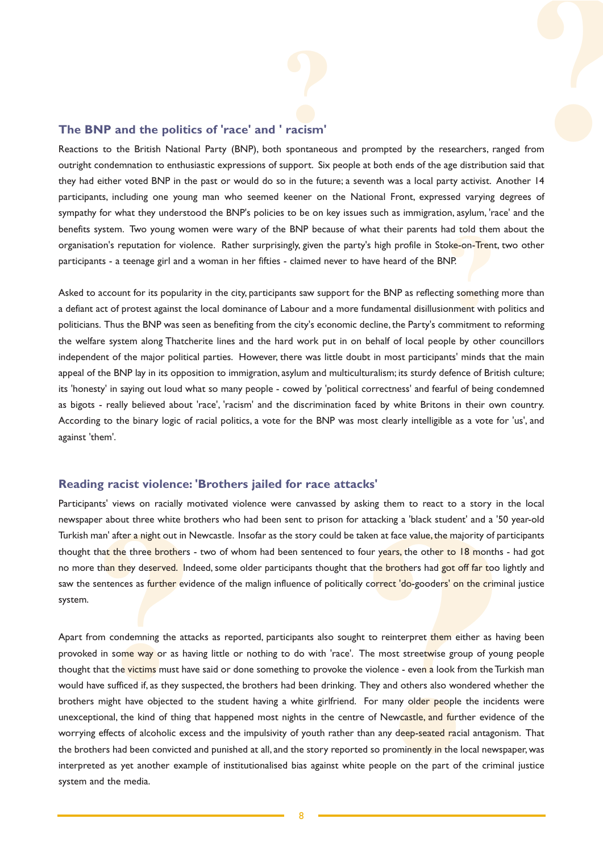

#### **The BNP and the politics of 'race' and ' racism'**

**8**<br>**from**<br>that<br>er 14 Reactions to the British National Party (BNP), both spontaneous and prompted by the researchers, ranged from outright condemnation to enthusiastic expressions of support. Six people at both ends of the age distribution said that they had either voted BNP in the past or would do so in the future; a seventh was a local party activist. Another 14 participants, including one young man who seemed keener on the National Front, expressed varying degrees of sympathy for what they understood the BNP's policies to be on key issues such as immigration, asylum, 'race' and the benefits system. Two young women were wary of the BNP because of what their parents had told them about the organisation's reputation for violence. Rather surprisingly, given the party's high profile in Stoke-on-Trent, two other participants - a teenage girl and a woman in her fifties - claimed never to have heard of the BNP.

**?** Asked to account for its popularity in the city, participants saw support for the BNP as reflecting so<mark>m</mark>ething more than a defiant act of protest against the local dominance of Labour and a more fundamental disillusionment with politics and politicians. Thus the BNP was seen as benefiting from the city's economic decline, the Party's commitment to reforming the welfare system along Thatcherite lines and the hard work put in on behalf of local people by other councillors independent of the major political parties. However, there was little doubt in most participants' minds that the main appeal of the BNP lay in its opposition to immigration, asylum and multiculturalism; its sturdy defence of British culture; its 'honesty' in saying out loud what so many people - cowed by 'political correctness' and fearful of being condemned as bigots - really believed about 'race', 'racism' and the discrimination faced by white Britons in their own country. According to the binary logic of racial politics, a vote for the BNP was most clearly intelligible as a vote for 'us', and against 'them'.

#### **Reading racist violence: 'Brothers jailed for race attacks'**

Participants' views on racially motivated violence were canvassed by asking them to react to a story in the local newspaper about three white brothers who had been sent to prison for attacking a 'black student' and a '50 year-old Turkish man' after a night out in Newcastle. Insofar as the story could be taken at face value, the majority of participants thought that the three brothers - two of whom had been sentenced to four years, the other to 18 months - had got no more than they deserved. Indeed, some older participants thought that the brothers had got off far too lightly and saw the sentences as further evidence of the malign influence of politically correct 'do-gooders' on the criminal justice system.

**Example 19** and the three brothers are the streamented by the method in the majority of paramentaria and a face value, the majority of parament and a face value, the majority of parament and a face value, the majority of Apart from condemning the attacks as reported, participants also sought to reinterpret them either as having been provoked in some way or as having little or nothing to do with 'race'. The most streetwise group of young people thought that the victims must have said or done something to provoke the violence - even a look from the Turkish man would have sufficed if, as they suspected, the brothers had been drinking. They and others also wondered whether the brothers might have objected to the student having a white girlfriend. For many older people the incidents were unexceptional, the kind of thing that happened most nights in the centre of Newcastle, and further evidence of the worrying effects of alcoholic excess and the impulsivity of youth rather than any deep-seated racial antagonism. That the brothers had been convicted and punished at all, and the story reported so prominently in the local newspaper, was interpreted as yet another example of institutionalised bias against white people on the part of the criminal justice system and the media.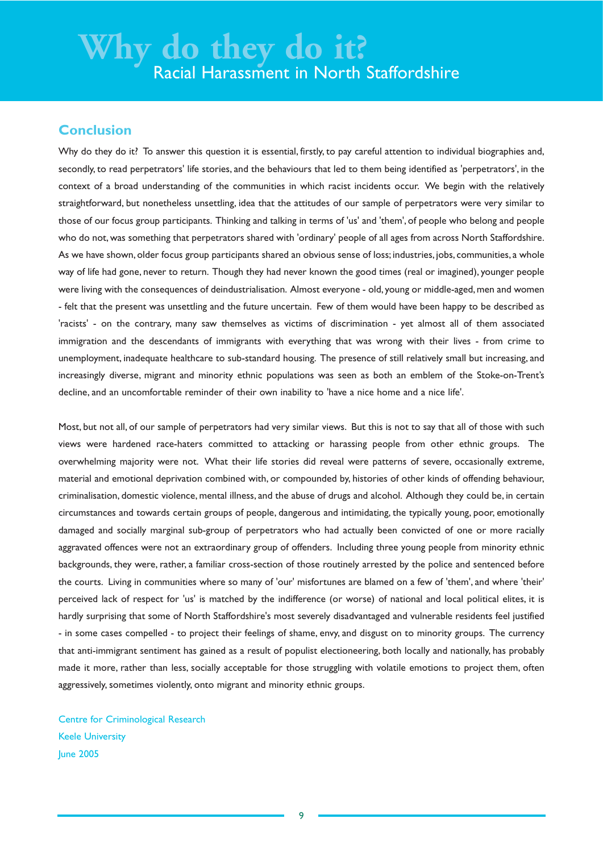#### **Conclusion**

Why do they do it? To answer this question it is essential, firstly, to pay careful attention to individual biographies and, secondly, to read perpetrators' life stories, and the behaviours that led to them being identified as 'perpetrators', in the context of a broad understanding of the communities in which racist incidents occur. We begin with the relatively straightforward, but nonetheless unsettling, idea that the attitudes of our sample of perpetrators were very similar to those of our focus group participants. Thinking and talking in terms of 'us' and 'them', of people who belong and people who do not, was something that perpetrators shared with 'ordinary' people of all ages from across North Staffordshire. As we have shown, older focus group participants shared an obvious sense of loss; industries, jobs, communities, a whole way of life had gone, never to return. Though they had never known the good times (real or imagined), younger people were living with the consequences of deindustrialisation. Almost everyone - old, young or middle-aged, men and women - felt that the present was unsettling and the future uncertain. Few of them would have been happy to be described as 'racists' - on the contrary, many saw themselves as victims of discrimination - yet almost all of them associated immigration and the descendants of immigrants with everything that was wrong with their lives - from crime to unemployment, inadequate healthcare to sub-standard housing. The presence of still relatively small but increasing, and increasingly diverse, migrant and minority ethnic populations was seen as both an emblem of the Stoke-on-Trent's decline, and an uncomfortable reminder of their own inability to 'have a nice home and a nice life'.

Most, but not all, of our sample of perpetrators had very similar views. But this is not to say that all of those with such views were hardened race-haters committed to attacking or harassing people from other ethnic groups. The overwhelming majority were not. What their life stories did reveal were patterns of severe, occasionally extreme, material and emotional deprivation combined with, or compounded by, histories of other kinds of offending behaviour, criminalisation, domestic violence, mental illness, and the abuse of drugs and alcohol. Although they could be, in certain circumstances and towards certain groups of people, dangerous and intimidating, the typically young, poor, emotionally damaged and socially marginal sub-group of perpetrators who had actually been convicted of one or more racially aggravated offences were not an extraordinary group of offenders. Including three young people from minority ethnic backgrounds, they were, rather, a familiar cross-section of those routinely arrested by the police and sentenced before the courts. Living in communities where so many of 'our' misfortunes are blamed on a few of 'them', and where 'their' perceived lack of respect for 'us' is matched by the indifference (or worse) of national and local political elites, it is hardly surprising that some of North Staffordshire's most severely disadvantaged and vulnerable residents feel justified - in some cases compelled - to project their feelings of shame, envy, and disgust on to minority groups. The currency that anti-immigrant sentiment has gained as a result of populist electioneering, both locally and nationally, has probably made it more, rather than less, socially acceptable for those struggling with volatile emotions to project them, often aggressively, sometimes violently, onto migrant and minority ethnic groups.

Centre for Criminological Research Keele University June 2005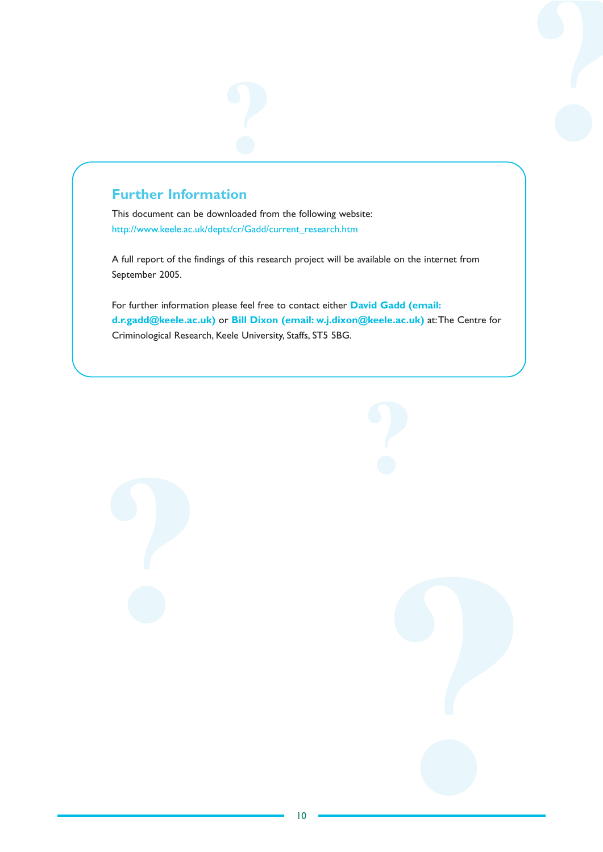#### **Further Information**

This document can be downloaded from the following website: http://www.keele.ac.uk/depts/cr/Gadd/current\_research.htm

**?**

A full report of the findings of this research project will be available on the internet from September 2005.

For further information please feel free to contact either **David Gadd (email: d.r.gadd@keele.ac.uk)** or **Bill Dixon (email: w.j.dixon@keele.ac.uk)** at:The Centre for Criminological Research, Keele University, Staffs, ST5 5BG.

**?**